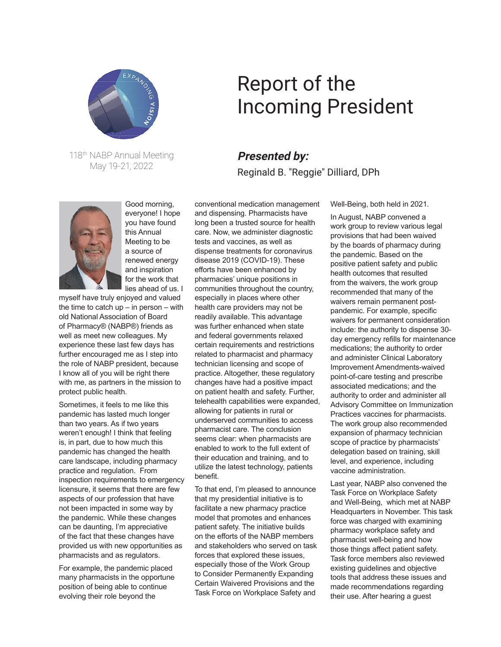

118th NABP Annual Meeting May 19-21, 2022



Good morning, everyone! I hope you have found this Annual Meeting to be a source of renewed energy and inspiration for the work that lies ahead of us. I

myself have truly enjoyed and valued the time to catch  $up$  – in person – with old National Association of Board of Pharmacy® (NABP®) friends as well as meet new colleagues. My experience these last few days has further encouraged me as I step into the role of NABP president, because I know all of you will be right there with me, as partners in the mission to protect public health.

Sometimes, it feels to me like this pandemic has lasted much longer than two years. As if two years weren't enough! I think that feeling is, in part, due to how much this pandemic has changed the health care landscape, including pharmacy practice and regulation. From inspection requirements to emergency licensure, it seems that there are few aspects of our profession that have not been impacted in some way by the pandemic. While these changes can be daunting, I'm appreciative of the fact that these changes have provided us with new opportunities as pharmacists and as regulators.

For example, the pandemic placed many pharmacists in the opportune position of being able to continue evolving their role beyond the

## Report of the Incoming President

## **Presented by:** Reginald B. "Reggie" Dilliard, DPh

conventional medication management and dispensing. Pharmacists have long been a trusted source for health care. Now, we administer diagnostic tests and vaccines, as well as dispense treatments for coronavirus disease 2019 (COVID-19). These efforts have been enhanced by pharmacies' unique positions in communities throughout the country, especially in places where other health care providers may not be readily available. This advantage was further enhanced when state and federal governments relaxed certain requirements and restrictions related to pharmacist and pharmacy technician licensing and scope of practice. Altogether, these regulatory changes have had a positive impact on patient health and safety. Further, telehealth capabilities were expanded, allowing for patients in rural or underserved communities to access pharmacist care. The conclusion seems clear: when pharmacists are enabled to work to the full extent of their education and training, and to utilize the latest technology, patients benefit.

To that end, I'm pleased to announce that my presidential initiative is to facilitate a new pharmacy practice model that promotes and enhances patient safety. The initiative builds on the efforts of the NABP members and stakeholders who served on task forces that explored these issues, especially those of the Work Group to Consider Permanently Expanding Certain Waivered Provisions and the Task Force on Workplace Safety and

Well-Being, both held in 2021.

In August, NABP convened a work group to review various legal provisions that had been waived by the boards of pharmacy during the pandemic. Based on the positive patient safety and public health outcomes that resulted from the waivers, the work group recommended that many of the waivers remain permanent postpandemic. For example, specific waivers for permanent consideration include: the authority to dispense 30 day emergency refills for maintenance medications; the authority to order and administer Clinical Laboratory Improvement Amendments-waived point-of-care testing and prescribe associated medications; and the authority to order and administer all Advisory Committee on Immunization Practices vaccines for pharmacists. The work group also recommended expansion of pharmacy technician scope of practice by pharmacists' delegation based on training, skill level, and experience, including vaccine administration.

Last year, NABP also convened the Task Force on Workplace Safety and Well-Being, which met at NABP Headquarters in November. This task force was charged with examining pharmacy workplace safety and pharmacist well-being and how those things affect patient safety. Task force members also reviewed existing guidelines and objective tools that address these issues and made recommendations regarding their use. After hearing a guest